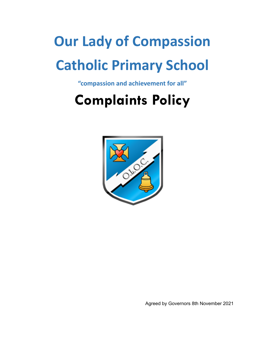# **Our Lady of Compassion Catholic Primary School**

**"compassion and achievement for all"**

## **Complaints Policy**



Agreed by Governors 8th November 2021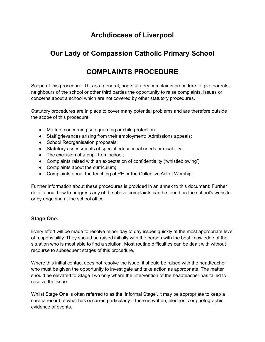### **Archdiocese of Liverpool**

## **Our Lady of Compassion Catholic Primary School**

## **COMPLAINTS PROCEDURE**

Scope of this procedure. This is a general, non-statutory complaints procedure to give parents, neighbours of the school or other third parties the opportunity to raise complaints, issues or concerns about a school which are not covered by other statutory procedures.

Statutory procedures are in place to cover many potential problems and are therefore outside the scope of this procedure

- Matters concerning safeguarding or child protection:
- Staff grievances arising from their employment; Admissions appeals;
- School Reorganisation proposals;
- Statutory assessments of special educational needs or disability;
- The exclusion of a pupil from school;
- Complaints raised with an expectation of confidentiality ('whistleblowing')
- Complaints about the curriculum;
- Complaints about the teaching of RE or the Collective Act of Worship;

Further information about these procedures is provided in an annex to this document: Further detail about how to progress any of the above complaints can be found on the school's website or by enquiring at the school office.

#### **Stage One.**

Every effort will be made to resolve minor day to day issues quickly at the most appropriate level of responsibility. They should be raised initially with the person with the best knowledge of the situation who is most able to find a solution. Most routine difficulties can be dealt with without recourse to subsequent stages of this procedure.

Where this initial contact does not resolve the issue, it should be raised with the headteacher who must be given the opportunity to investigate and take action as appropriate. The matter should be elevated to Stage Two only where the intervention of the headteacher has failed to resolve the issue.

Whilst Stage One is often referred to as the 'Informal Stage', it may be appropriate to keep a careful record of what has occurred particularly if there is written, electronic or photographic evidence of events.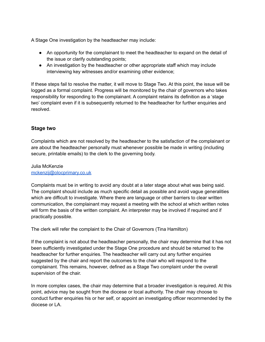A Stage One investigation by the headteacher may include:

- An opportunity for the complainant to meet the headteacher to expand on the detail of the issue or clarify outstanding points;
- An investigation by the headteacher or other appropriate staff which may include interviewing key witnesses and/or examining other evidence;

If these steps fail to resolve the matter, it will move to Stage Two. At this point, the issue will be logged as a formal complaint. Progress will be monitored by the chair of governors who takes responsibility for responding to the complainant. A complaint retains its definition as a 'stage two' complaint even if it is subsequently returned to the headteacher for further enquiries and resolved.

#### **Stage two**

Complaints which are not resolved by the headteacher to the satisfaction of the complainant or are about the headteacher personally must whenever possible be made in writing (including secure, printable emails) to the clerk to the governing body.

Julia McKenzie [mckenzij@olocprimary.co.uk](mailto:mckenzij@olocprimary.co.uk)

Complaints must be in writing to avoid any doubt at a later stage about what was being said. The complaint should include as much specific detail as possible and avoid vague generalities which are difficult to investigate. Where there are language or other barriers to clear written communication, the complainant may request a meeting with the school at which written notes will form the basis of the written complaint. An interpreter may be involved if required and if practically possible.

The clerk will refer the complaint to the Chair of Governors (Tina Hamilton)

If the complaint is not about the headteacher personally, the chair may determine that it has not been sufficiently investigated under the Stage One procedure and should be returned to the headteacher for further enquiries. The headteacher will carry out any further enquiries suggested by the chair and report the outcomes to the chair who will respond to the complainant. This remains, however, defined as a Stage Two complaint under the overall supervision of the chair.

In more complex cases, the chair may determine that a broader investigation is required. At this point, advice may be sought from the diocese or local authority. The chair may choose to conduct further enquiries his or her self, or appoint an investigating officer recommended by the diocese or LA.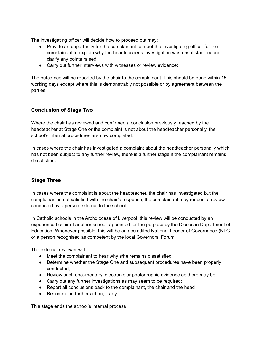The investigating officer will decide how to proceed but may;

- Provide an opportunity for the complainant to meet the investigating officer for the complainant to explain why the headteacher's investigation was unsatisfactory and clarify any points raised;
- Carry out further interviews with witnesses or review evidence;

The outcomes will be reported by the chair to the complainant. This should be done within 15 working days except where this is demonstrably not possible or by agreement between the parties.

#### **Conclusion of Stage Two**

Where the chair has reviewed and confirmed a conclusion previously reached by the headteacher at Stage One or the complaint is not about the headteacher personally, the school's internal procedures are now completed.

In cases where the chair has investigated a complaint about the headteacher personally which has not been subject to any further review, there is a further stage if the complainant remains dissatisfied.

#### **Stage Three**

In cases where the complaint is about the headteacher, the chair has investigated but the complainant is not satisfied with the chair's response, the complainant may request a review conducted by a person external to the school.

In Catholic schools in the Archdiocese of Liverpool, this review will be conducted by an experienced chair of another school, appointed for the purpose by the Diocesan Department of Education. Whenever possible, this will be an accredited National Leader of Governance (NLG) or a person recognised as competent by the local Governors' Forum.

The external reviewer will

- Meet the complainant to hear why s/he remains dissatisfied;
- Determine whether the Stage One and subsequent procedures have been properly conducted;
- Review such documentary, electronic or photographic evidence as there may be;
- Carry out any further investigations as may seem to be required;
- Report all conclusions back to the complainant, the chair and the head
- Recommend further action, if any.

This stage ends the school's internal process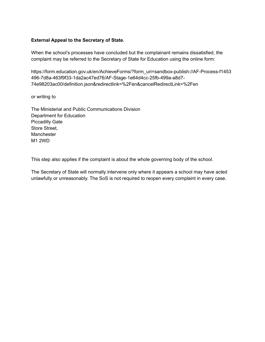#### **External Appeal to the Secretary of State.**

When the school's processes have concluded but the complainant remains dissatisfied, the complaint may be referred to the Secretary of State for Education using the online form:

https://form.education.gov.uk/en/AchieveForms/?form\_uri=sandbox-publish://AF-Process-f1453 496-7d8a-463f9f33-1da2ac47ed76/AF-Stage-1e64d4cc-25fb-499a-a8d7- 74e98203ac00/definition.json&redirectlink=%2Fen&cancelRedirectLink=%2Fen

or writing to

The Ministerial and Public Communications Division Department for Education Piccadilly Gate Store Street, **Manchester** M1 2WD

This step also applies if the complaint is about the whole governing body of the school.

The Secretary of State will normally intervene only where it appears a school may have acted unlawfully or unreasonably. The SoS is not required to reopen every complaint in every case.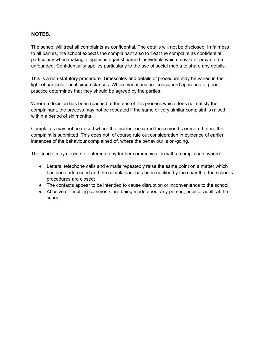#### **NOTES.**

The school will treat all complaints as confidential. The details will not be disclosed. In fairness to all parties, the school expects the complainant also to treat the complaint as confidential, particularly when making allegations against named individuals which may later prove to be unfounded. Confidentiality applies particularly to the use of social media to share any details.

This is a non-statutory procedure. Timescales and details of procedure may be varied in the light of particular local circumstances. Where variations are considered appropriate, good practice determines that they should be agreed by the parties.

Where a decision has been reached at the end of this process which does not satisfy the complainant, the process may not be repeated if the same or very similar complaint is raised within a period of six months.

Complaints may not be raised where the incident occurred three months or more before the complaint is submitted. This does not, of course rule out consideration in evidence of earlier instances of the behaviour complained of, where the behaviour is on-going.

The school may decline to enter into any further communication with a complainant where:

- Letters, telephone calls and e mails repeatedly raise the same point on a matter which has been addressed and the complainant has been notified by the chair that the school's procedures are closed;
- The contacts appear to be intended to cause disruption or inconvenience to the school;
- Abusive or insulting comments are being made about any person, pupil or adult, at the school.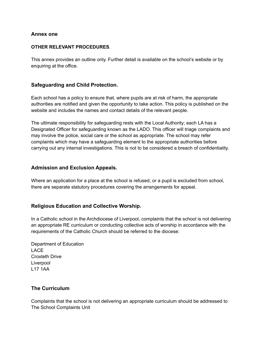#### **Annex one**

#### **OTHER RELEVANT PROCEDURES**.

This annex provides an outline only. Further detail is available on the school's website or by enquiring at the office.

#### **Safeguarding and Child Protection.**

Each school has a policy to ensure that, where pupils are at risk of harm, the appropriate authorities are notified and given the opportunity to take action. This policy is published on the website and includes the names and contact details of the relevant people.

The ultimate responsibility for safeguarding rests with the Local Authority; each LA has a Designated Officer for safeguarding known as the LADO. This officer will triage complaints and may involve the police, social care or the school as appropriate. The school may refer complaints which may have a safeguarding element to the appropriate authorities before carrying out any internal investigations. This is not to be considered a breach of confidentiality.

#### **Admission and Exclusion Appeals.**

Where an application for a place at the school is refused, or a pupil is excluded from school, there are separate statutory procedures covering the arrangements for appeal.

#### **Religious Education and Collective Worship.**

In a Catholic school in the Archdiocese of Liverpool, complaints that the school is not delivering an appropriate RE curriculum or conducting collective acts of worship in accordance with the requirements of the Catholic Church should be referred to the diocese:

Department of Education LACE Croxteth Drive Liverpool L17 1AA

#### **The Curriculum**

Complaints that the school is not delivering an appropriate curriculum should be addressed to The School Complaints Unit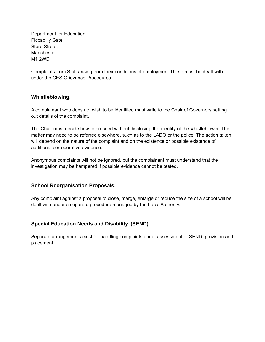Department for Education Piccadilly Gate Store Street, Manchester M1 2WD

Complaints from Staff arising from their conditions of employment These must be dealt with under the CES Grievance Procedures.

#### **Whistleblowing**.

A complainant who does not wish to be identified must write to the Chair of Governors setting out details of the complaint.

The Chair must decide how to proceed without disclosing the identity of the whistleblower. The matter may need to be referred elsewhere, such as to the LADO or the police. The action taken will depend on the nature of the complaint and on the existence or possible existence of additional corroborative evidence.

Anonymous complaints will not be ignored, but the complainant must understand that the investigation may be hampered if possible evidence cannot be tested.

#### **School Reorganisation Proposals.**

Any complaint against a proposal to close, merge, enlarge or reduce the size of a school will be dealt with under a separate procedure managed by the Local Authority.

#### **Special Education Needs and Disability. (SEND)**

Separate arrangements exist for handling complaints about assessment of SEND, provision and placement.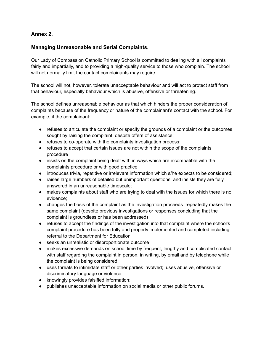#### **Annex 2.**

#### **Managing Unreasonable and Serial Complaints.**

Our Lady of Compassion Catholic Primary School is committed to dealing with all complaints fairly and impartially, and to providing a high-quality service to those who complain. The school will not normally limit the contact complainants may require.

The school will not, however, tolerate unacceptable behaviour and will act to protect staff from that behaviour, especially behaviour which is abusive, offensive or threatening.

The school defines unreasonable behaviour as that which hinders the proper consideration of complaints because of the frequency or nature of the complainant's contact with the school. For example, if the complainant:

- refuses to articulate the complaint or specify the grounds of a complaint or the outcomes sought by raising the complaint, despite offers of assistance;
- refuses to co-operate with the complaints investigation process;
- refuses to accept that certain issues are not within the scope of the complaints procedure
- insists on the complaint being dealt with in ways which are incompatible with the complaints procedure or with good practice
- introduces trivia, repetitive or irrelevant information which s/he expects to be considered;
- raises large numbers of detailed but unimportant questions, and insists they are fully answered in an unreasonable timescale;
- makes complaints about staff who are trying to deal with the issues for which there is no evidence;
- changes the basis of the complaint as the investigation proceeds repeatedly makes the same complaint (despite previous investigations or responses concluding that the complaint is groundless or has been addressed)
- refuses to accept the findings of the investigation into that complaint where the school's complaint procedure has been fully and properly implemented and completed including referral to the Department for Education
- seeks an unrealistic or disproportionate outcome
- makes excessive demands on school time by frequent, lengthy and complicated contact with staff regarding the complaint in person, in writing, by email and by telephone while the complaint is being considered;
- uses threats to intimidate staff or other parties involved; uses abusive, offensive or discriminatory language or violence;
- knowingly provides falsified information;
- publishes unacceptable information on social media or other public forums.